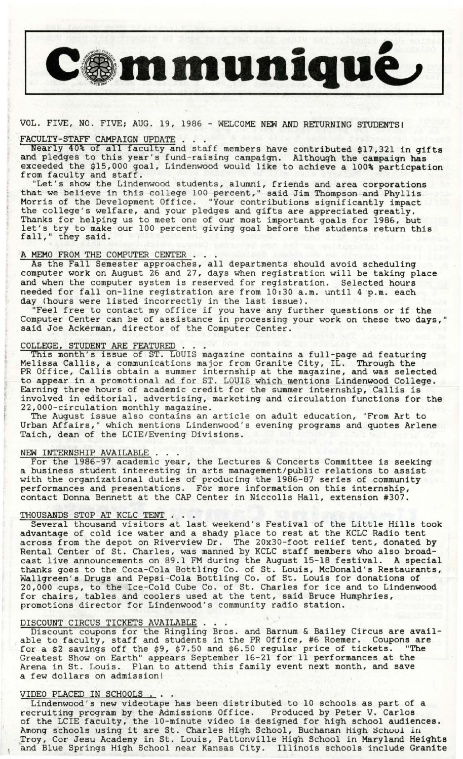

# VOL. FIVE, NO. FIVE; AUG. 19, 1986 - WELCOME NEW AND RETURNING STUDENTSl

VOL. FIVE, NO. FIVE; AUG. 19, 1986 - WELCOME NEW AND RETURNING STUDENTS!<br>FACULTY-STAFF CAMPAIGN UPDATE . . .<br>Nearly 40% of all faculty and staff members have contributed \$17,321 in gifts and pledges to this year's fund-rai exceeded the \$15,000 goal, Lindenwood would like to achieve a 100% particpation from faculty and staff. <br>"Let's show the Lindenwood students, alumni, friends and area corporations

that we believe in this college 100 percent," said Jim Thompson and Phyllis Morris of the Development Office. "Your contributions significantly impact the college's welfare, and your pledges and gifts are appreciated greatly. Thanks for helping us to meet one of our most important goals for 1986, but let's try to make our 100 percent giving goal before the students return this fall," they said.

## A MEMO FROM THE COMPUTER CENTER.

As the Fall Semester approaches, all departments should avoid scheduling computer work on August 26 and 27, days when registration will be taking place and when the computer system is reserved for registration. Selected hours needed for fall on-line registration are from 10:30 a.m. until 4 p.m. each day (hours were listed incorrectly in the last issue).

"Feel free to contact my office if you have any further questions or if the Computer Center can be of assistance in processing your work on these two days," said Joe Ackerman, director of the Computer Center.

COLLEGE, STUDENT ARE FEATURED. . . . This month's issue of ST. LOUIS magazine contains a full-page ad featuring Melissa Callis, a communications major from Granite City, IL. Through the PR Office, Callis obtain a summer internship at the magazine, and was selected to appear in a promotional ad for ST. LOUIS which mentions Lindenwood College. Earning three hours of academic credit for the summer internship, Callis is involved in editorial, advertising, marketing and circulation functions for the 22,000-circulation monthly magazine.<br>The August issue also contains an article on adult education, "From Art to

Urban Affairs," which mentions Lindenwood's evening programs and quotes Arlene Taich, dean of the LCIE/Evening Divisions.

NEW INTERNSHIP AVAILABLE . . .<br>For the 1986-97 academic year, the Lectures & Concerts Committee is seeking a business student interesting in arts management/public relations to assist with the organizational duties of producing the 1986-87 series of community performances and presentations. For more information on this internship, contact Donna Bennett at the CAP Center in Niccolls Hall, extension #307.

THOUSANDS STOP AT KCLC TENT . . .<br>Several thousand visitors at last weekend's Festival of the Little Hills took advantage of cold ice water and a shady place to rest at the KCLC Radio tent across from the depot on Riverview Dr. The 20x30-foot relief tent, donated by Rental Center of St. Charles, was manned by KCLC staff members who also broadcast live announcements on 89.1 FM during the August 15-18 festival. A special thanks goes to the Coca-Cola Bottling Co. of St. Louis, McDonald's Restaurants, Wallgreen's Drugs and Pepsi-Cola Bottling Co. of St. Louis for donations of 20,000 cups, to the Ice-Cold Cube Co. of St. Charles for ice and to Lindenwood for chairs, tables and coolers used at the tent, said Bruce Humphries, promotions director for Lindenwood's community radio station.

promotions director for Lindenwood's community radio station.<br>DISCOUNT CIRCUS TICKETS AVAILABLE . . .<br>Discount coupons for the Ringling Bros. and Barnum & Bailey Circus are available to faculty, staff and students in the PR Office, #6 Roemer. Coupons are for a \$2 savings off the \$9, \$7.50 and \$6.50 regular price of tickets. "The Greatest Show on Earth" appears September 16-21 for 11 performances at the Arena in St. Louis. Plan to attend this family event next month, and save a few dollars on admission!

VIDEO PLACED IN SCHOOLS ... Lindenwood's new videotape has been distributed to 10 schools as part of a recruiting program by the Admissions Office. Produced by Peter V. Carlos of the LCIE faculty, the 10-minute video is designed for high school audiences. of the LCIE faculty, the 10-minute video is designed for high school audiences.<br>Among schools using it are St. Charles High School, Buchanan High School in<br>Troy, Cor Jesu Academy in St. Louis, Pattonville High School in Ma